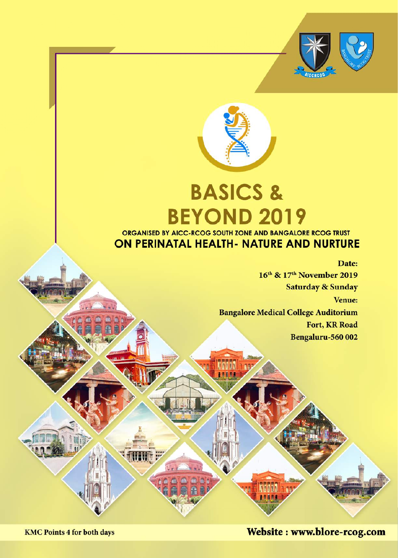

# **BASICS & BEYOND 2019** ORGANISED BY AICC-RCOG SOUTH ZONE AND BANGALORE RCOG TRUST

# ON PERINATAL HEALTH- NATURE AND NURTURE

**RANAA** 

Date: 16<sup>th</sup> & 17<sup>th</sup> November 2019 **Saturday & Sunday** Venue: **Bangalore Medical College Auditorium** Fort, KR Road Bengaluru-560 002

Website: www.blore-rcog.com

**HEIMA ATA** 

**KMC Points 4 for both days**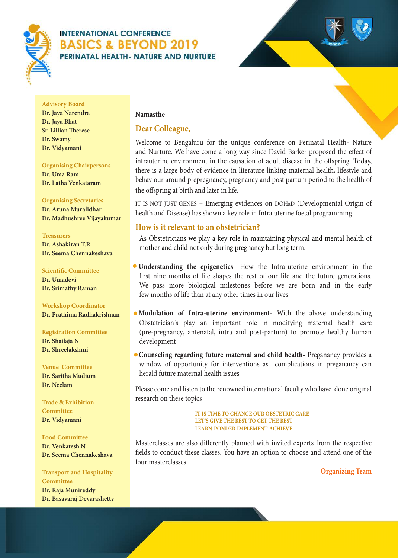



#### **Advisory Board**

**Dr. Jaya Narendra Dr. Jaya Bhat Sr. Lillian Therese Dr. Swamy Dr. Vidyamani**

#### **Organising Chairpersons**

**Dr. Uma Ram Dr. Latha Venkataram**

#### **Organising Secretaries**

**Dr. Aruna Muralidhar Dr. Madhushree Vijayakumar**

#### **Treasurers**

**Dr. Ashakiran T.R Dr. Seema Chennakeshava**

#### **Scientific Committee**

**Dr. Umadevi Dr. Srimathy Raman**

#### **Workshop Coordinator Dr. Prathima Radhakrishnan**

**Registration Committee Dr. Shailaja N** 

**Dr. Shreelakshmi**

#### **Venue Committee Dr. Saritha Mudium Dr. Neelam**

**Trade & Exhibition Committee Dr. Vidyamani**

#### **Food Committee**

**Dr. Venkatesh N Dr. Seema Chennakeshava**

#### **Transport and Hospitality Committee**

**Dr. Raja Munireddy Dr. Basavaraj Devarashetty**

#### **Namasthe**

#### **Dear Colleague,**

Welcome to Bengaluru for the unique conference on Perinatal Health- Nature and Nurture. We have come a long way since David Barker proposed the effect of intrauterine environment in the causation of adult disease in the offspring. Today, there is a large body of evidence in literature linking maternal health, lifestyle and behaviour around prepregnancy, pregnancy and post partum period to the health of the offspring at birth and later in life.

IT IS NOT JUST GENES – Emerging evidences on DOHaD (Developmental Origin of health and Disease) has shown a key role in Intra uterine foetal programming

#### **How is it relevant to an obstetrician?**

As Obstetricians we play a key role in maintaining physical and mental health of mother and child not only during pregnancy but long term.

- **Understanding the epigenetics-** How the Intra-uterine environment in the first nine months of life shapes the rest of our life and the future generations. We pass more biological milestones before we are born and in the early few months of life than at any other times in our lives
- **Modulation of Intra-uterine environment-** With the above understanding Obstetrician's play an important role in modifying maternal health care (pre-pregnancy, antenatal, intra and post-partum) to promote healthy human development
- **Counseling regarding future maternal and child health-** Preganancy provides a window of opportunity for interventions as complications in preganancy can herald future maternal health issues

Please come and listen to the renowned international faculty who have done original research on these topics

> **IT IS TIME TO CHANGE OUR OBSTETRIC CARE LET'S GIVE THE BEST TO GET THE BEST LEARN-PONDER-IMPLEMENT-ACHIEVE**

Masterclasses are also differently planned with invited experts from the respective fields to conduct these classes. You have an option to choose and attend one of the four masterclasses.

**Organizing Team**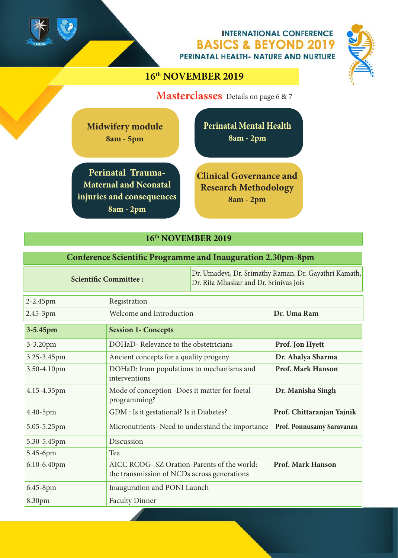

# **16th NOVEMBER 2019**

**Masterclasses** Details on page 6 & 7

**Midwifery module 8am - 5pm**

**Perinatal Trauma-Maternal and Neonatal injuries and consequences 8am - 2pm**

**Clinical Governance and Research Methodology 8am - 2pm**

**Perinatal Mental Health**

**8am - 2pm**

#### **16th NOVEMBER 2019**

#### **Conference Scientific Programme and Inauguration 2.30pm-8pm**

|             | <b>Scientific Committee:</b>                                                               | Dr. Rita Mhaskar and Dr. Srinivas Jois | Dr. Umadevi, Dr. Srimathy Raman, Dr. Gayathri Kamath, |
|-------------|--------------------------------------------------------------------------------------------|----------------------------------------|-------------------------------------------------------|
| 2-2.45pm    | Registration                                                                               |                                        |                                                       |
| 2.45-3pm    | Welcome and Introduction                                                                   |                                        | Dr. Uma Ram                                           |
| 3-5.45pm    | <b>Session 1- Concepts</b>                                                                 |                                        |                                                       |
| 3-3.20pm    | DOHaD-Relevance to the obstetricians                                                       |                                        | Prof. Jon Hyett                                       |
| 3.25-3.45pm | Ancient concepts for a quality progeny                                                     |                                        | Dr. Ahalya Sharma                                     |
| 3.50-4.10pm | DOHaD: from populations to mechanisms and<br>interventions                                 |                                        | Prof. Mark Hanson                                     |
| 4.15-4.35pm | Mode of conception -Does it matter for foetal<br>programming?                              |                                        | Dr. Manisha Singh                                     |
| 4.40-5pm    | GDM : Is it gestational? Is it Diabetes?                                                   |                                        | Prof. Chittaranjan Yajnik                             |
| 5.05-5.25pm | Micronutrients- Need to understand the importance                                          |                                        | Prof. Ponnusamy Saravanan                             |
| 5.30-5.45pm | Discussion                                                                                 |                                        |                                                       |
| 5.45-6pm    | Tea                                                                                        |                                        |                                                       |
| 6.10-6.40pm | AICC RCOG- SZ Oration-Parents of the world:<br>the transmission of NCDs across generations |                                        | <b>Prof. Mark Hanson</b>                              |
| 6.45-8pm    | Inauguration and PONI Launch                                                               |                                        |                                                       |
| 8.30pm      | <b>Faculty Dinner</b>                                                                      |                                        |                                                       |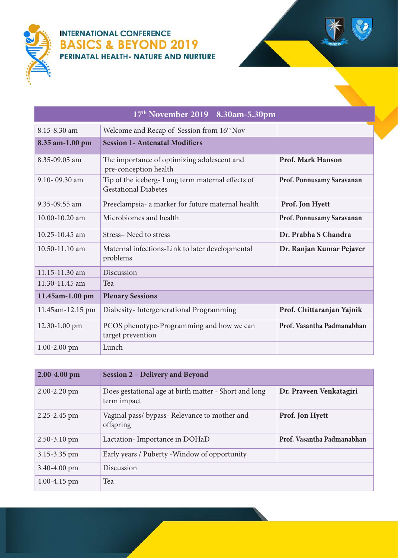



|                    | 17th November 2019 8.30am-5.30pm                                                |                            |
|--------------------|---------------------------------------------------------------------------------|----------------------------|
| 8.15-8.30 am       | Welcome and Recap of Session from 16 <sup>th</sup> Nov                          |                            |
| 8.35 am-1.00 pm    | <b>Session 1- Antenatal Modifiers</b>                                           |                            |
| 8.35-09.05 am      | The importance of optimizing adolescent and<br>pre-conception health            | Prof. Mark Hanson          |
| 9.10-09.30 am      | Tip of the iceberg-Long term maternal effects of<br><b>Gestational Diabetes</b> | Prof. Ponnusamy Saravanan  |
| 9.35-09.55 am      | Preeclampsia- a marker for future maternal health                               | Prof. Jon Hyett            |
| $10.00 - 10.20$ am | Microbiomes and health                                                          | Prof. Ponnusamy Saravanan  |
| $10.25 - 10.45$ am | Stress-Need to stress                                                           | Dr. Prabha S Chandra       |
| 10.50-11.10 am     | Maternal infections-Link to later developmental<br>problems                     | Dr. Ranjan Kumar Pejaver   |
| 11.15-11.30 am     | Discussion                                                                      |                            |
| 11.30-11.45 am     | Tea                                                                             |                            |
| 11.45am-1.00 pm    | <b>Plenary Sessions</b>                                                         |                            |
| 11.45am-12.15 pm   | Diabesity-Intergenerational Programming                                         | Prof. Chittaranjan Yajnik  |
| 12.30-1.00 pm      | PCOS phenotype-Programming and how we can<br>target prevention                  | Prof. Vasantha Padmanabhan |
| $1.00 - 2.00$ pm   | Lunch                                                                           |                            |

| 2.00-4.00 pm     | <b>Session 2 – Delivery and Beyond</b>                               |                            |
|------------------|----------------------------------------------------------------------|----------------------------|
| $2.00 - 2.20$ pm | Does gestational age at birth matter - Short and long<br>term impact | Dr. Praveen Venkatagiri    |
| 2.25-2.45 pm     | Vaginal pass/ bypass- Relevance to mother and<br>offspring           | Prof. Jon Hyett            |
| $2.50 - 3.10$ pm | Lactation-Importance in DOHaD                                        | Prof. Vasantha Padmanabhan |
| $3.15 - 3.35$ pm | Early years / Puberty - Window of opportunity                        |                            |
| $3.40 - 4.00$ pm | Discussion                                                           |                            |
| $4.00 - 4.15$ pm | Tea                                                                  |                            |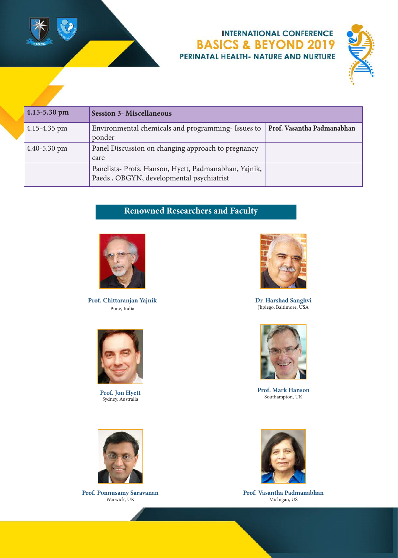



| $4.15 - 5.30$ pm | <b>Session 3- Miscellaneous</b>                                                                   |                            |
|------------------|---------------------------------------------------------------------------------------------------|----------------------------|
| $4.15 - 4.35$ pm | Environmental chemicals and programming-Issues to<br>ponder                                       | Prof. Vasantha Padmanabhan |
| $4.40 - 5.30$ pm | Panel Discussion on changing approach to pregnancy<br>care                                        |                            |
|                  | Panelists- Profs. Hanson, Hyett, Padmanabhan, Yajnik,<br>Paeds, OBGYN, developmental psychiatrist |                            |

# **Renowned Researchers and Faculty**



**Prof. Chittaranjan Yajnik** Pune, India



**Prof. Jon Hyett** Sydney, Australia



**Dr. Harshad Sanghvi** Jhpiego, Baltimore, USA



**Prof. Mark Hanson** Southampton, UK



**Prof. Ponnusamy Saravanan** Warwick, UK



**Prof. Vasantha Padmanabhan** Michigan, US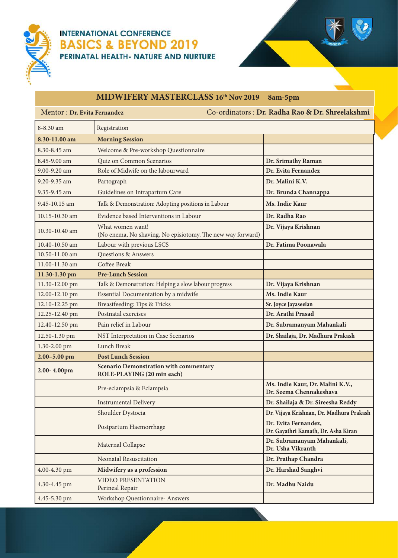



# **MIDWIFERY MASTERCLASS 16th Nov 2019 8am-5pm**

| Mentor : Dr. Evita Fernandez |                                                                                | Co-ordinators: Dr. Radha Rao & Dr. Shreelakshmi             |
|------------------------------|--------------------------------------------------------------------------------|-------------------------------------------------------------|
| 8-8.30 am                    | Registration                                                                   |                                                             |
| 8.30-11.00 am                | <b>Morning Session</b>                                                         |                                                             |
| 8.30-8.45 am                 | Welcome & Pre-workshop Questionnaire                                           |                                                             |
| 8.45-9.00 am                 | Quiz on Common Scenarios                                                       | Dr. Srimathy Raman                                          |
| 9.00-9.20 am                 | Role of Midwife on the labourward                                              | Dr. Evita Fernandez                                         |
| 9.20-9.35 am                 | Partograph                                                                     | Dr. Malini K.V.                                             |
| 9.35-9.45 am                 | Guidelines on Intrapartum Care                                                 | Dr. Brunda Channappa                                        |
| 9.45-10.15 am                | Talk & Demonstration: Adopting positions in Labour                             | Ms. Indie Kaur                                              |
| 10.15-10.30 am               | Evidence based Interventions in Labour                                         | Dr. Radha Rao                                               |
| 10.30-10.40 am               | What women want!<br>(No enema, No shaving, No episiotomy, The new way forward) | Dr. Vijaya Krishnan                                         |
| 10.40-10.50 am               | Labour with previous LSCS                                                      | Dr. Fatima Poonawala                                        |
| 10.50-11.00 am               | <b>Questions &amp; Answers</b>                                                 |                                                             |
| 11.00-11.30 am               | Coffee Break                                                                   |                                                             |
| 11.30-1.30 pm                | <b>Pre-Lunch Session</b>                                                       |                                                             |
| 11.30-12.00 pm               | Talk & Demonstration: Helping a slow labour progress                           | Dr. Vijaya Krishnan                                         |
| 12.00-12.10 pm               | Essential Documentation by a midwife                                           | Ms. Indie Kaur                                              |
| 12.10-12.25 pm               | Breastfeeding: Tips & Tricks                                                   | Sr. Joyce Jayaseelan                                        |
| 12.25-12.40 pm               | Postnatal exercises                                                            | Dr. Arathi Prasad                                           |
| 12.40-12.50 pm               | Pain relief in Labour                                                          | Dr. Subramanyam Mahankali                                   |
| 12.50-1.30 pm                | NST Interpretation in Case Scenarios                                           | Dr. Shailaja, Dr. Madhura Prakash                           |
| 1.30-2.00 pm                 | Lunch Break                                                                    |                                                             |
| $2.00 - 5.00$ pm             | <b>Post Lunch Session</b>                                                      |                                                             |
| 2.00-4.00pm                  | <b>Scenario Demonstration with commentary</b><br>ROLE-PLAYING (20 min each)    |                                                             |
|                              | Pre-eclampsia & Eclampsia                                                      | Ms. Indie Kaur, Dr. Malini K.V.,<br>Dr. Seema Chennakeshava |
|                              | <b>Instrumental Delivery</b>                                                   | Dr. Shailaja & Dr. Sireesha Reddy                           |
|                              | Shoulder Dystocia                                                              | Dr. Vijaya Krishnan, Dr. Madhura Prakash                    |
|                              | Postpartum Haemorrhage                                                         | Dr. Evita Fernandez,<br>Dr. Gayathri Kamath, Dr. Asha Kiran |
|                              | Maternal Collapse                                                              | Dr. Subramanyam Mahankali,<br>Dr. Usha Vikranth             |
|                              | Neonatal Resuscitation                                                         | Dr. Prathap Chandra                                         |
| 4.00-4.30 pm                 | Midwifery as a profession                                                      | Dr. Harshad Sanghvi                                         |
| 4.30-4.45 pm                 | <b>VIDEO PRESENTATION</b><br>Perineal Repair                                   | Dr. Madhu Naidu                                             |
| 4.45-5.30 pm                 | <b>Workshop Questionnaire- Answers</b>                                         |                                                             |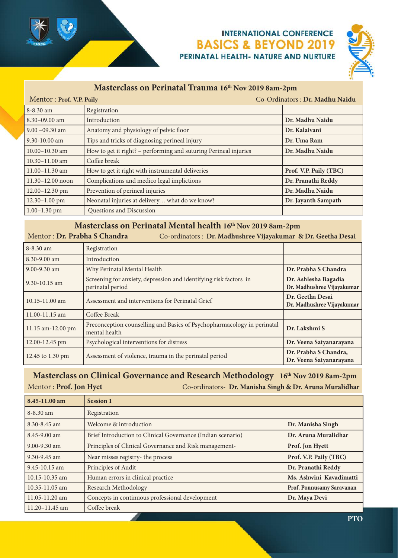

 $M$ entor : **Prof. V.P. Paily** 

## **INTERNATIONAL CONFERENCE BASICS & BEYOND 2019** PERINATAL HEALTH- NATURE AND NURTURE



#### **Masterclass on Perinatal Trauma 16th Nov 2019 8am-2pm**

|  | Co-Ordinators: Dr. Madhu Naidu |  |  |  |  |
|--|--------------------------------|--|--|--|--|
|  |                                |  |  |  |  |

| 8-8.30 am            | Registration                                                     |                        |
|----------------------|------------------------------------------------------------------|------------------------|
| $8.30 - 09.00$ am    | Introduction                                                     | Dr. Madhu Naidu        |
| $9.00 - 09.30$ am    | Anatomy and physiology of pelvic floor                           | Dr. Kalaivani          |
| 9.30-10.00 am        | Tips and tricks of diagnosing perineal injury                    | Dr. Uma Ram            |
| $10.00 - 10.30$ am   | How to get it right? - performing and suturing Perineal injuries | Dr. Madhu Naidu        |
| $10.30 - 11.00$ am   | Coffee break                                                     |                        |
| $11.00 - 11.30$ am   | How to get it right with instrumental deliveries                 | Prof. V.P. Paily (TBC) |
| $11.30 - 12.00$ noon | Complications and medico legal implictions                       | Dr. Pranathi Reddy     |
| 12.00-12.30 pm       | Prevention of perineal injuries                                  | Dr. Madhu Naidu        |
| $12.30 - 1.00$ pm    | Neonatal injuries at delivery what do we know?                   | Dr. Jayanth Sampath    |
| $1.00 - 1.30$ pm     | Questions and Discussion                                         |                        |

#### **Masterclass on Perinatal Mental health 16th Nov 2019 8am-2pm**

Mentor : **Dr. Prabha S Chandra** Co-ordinators : **Dr. Madhushree Vijayakumar & Dr. Geetha Desai**

| $8 - 8.30$ am     | Registration                                                                             |                                                    |
|-------------------|------------------------------------------------------------------------------------------|----------------------------------------------------|
| $8.30 - 9.00$ am  | Introduction                                                                             |                                                    |
| $9.00 - 9.30$ am  | Why Perinatal Mental Health                                                              | Dr. Prabha S Chandra                               |
| $9.30 - 10.15$ am | Screening for anxiety, depression and identifying risk factors in<br>perinatal period    | Dr. Ashlesha Bagadia<br>Dr. Madhushree Vijayakumar |
| 10.15-11.00 am    | Assessment and interventions for Perinatal Grief                                         | Dr. Geetha Desai<br>Dr. Madhushree Vijayakumar     |
| 11.00-11.15 am    | Coffee Break                                                                             |                                                    |
| 11.15 am-12.00 pm | Preconception counselling and Basics of Psychopharmacology in perinatal<br>mental health | Dr. Lakshmi S                                      |
| 12.00-12.45 pm    | Psychological interventions for distress                                                 | Dr. Veena Satyanarayana                            |
| 12.45 to 1.30 pm  | Assessment of violence, trauma in the perinatal period                                   | Dr. Prabha S Chandra,<br>Dr. Veena Satyanarayana   |

#### **Masterclass on Clinical Governance and Research Methodology 16th Nov 2019 8am-2pm** Mentor : **Prof. Jon Hyet** Co-ordinators- **Dr. Manisha Singh & Dr. Aruna Muralidhar**

| 8.45-11.00 am      | <b>Session 1</b>                                            |                           |
|--------------------|-------------------------------------------------------------|---------------------------|
| $8 - 8.30$ am      | Registration                                                |                           |
| $8.30 - 8.45$ am   | Welcome & introduction                                      | Dr. Manisha Singh         |
| 8.45-9.00 am       | Brief Introduction to Clinical Governance (Indian scenario) | Dr. Aruna Muralidhar      |
| 9.00-9.30 am       | Principles of Clinical Governance and Risk management-      | Prof. Jon Hyett           |
| $9.30 - 9.45$ am   | Near misses registry- the process                           | Prof. V.P. Paily (TBC)    |
| 9.45-10.15 am      | Principles of Audit                                         | Dr. Pranathi Reddy        |
| 10.15-10.35 am     | Human errors in clinical practice                           | Ms. Ashwini Kavadimatti   |
| 10.35-11.05 am     | Research Methodology                                        | Prof. Ponnusamy Saravanan |
| 11.05-11.20 am     | Concepts in continuous professional development             | Dr. Maya Devi             |
| $11.20 - 11.45$ am | Coffee break                                                |                           |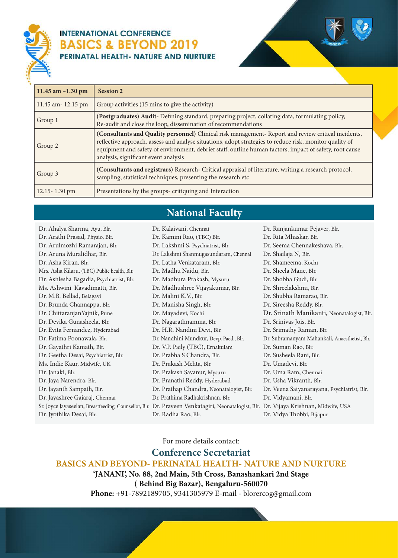



Dr. Ranjankumar Pejaver, Blr.

| 11.45 am $-1.30$ pm | <b>Session 2</b>                                                                                                                                                                                                                                                                                                                                                 |
|---------------------|------------------------------------------------------------------------------------------------------------------------------------------------------------------------------------------------------------------------------------------------------------------------------------------------------------------------------------------------------------------|
| 11.45 am - 12.15 pm | Group activities (15 mins to give the activity)                                                                                                                                                                                                                                                                                                                  |
| Group 1             | (Postgraduates) Audit-Defining standard, preparing project, collating data, formulating policy,<br>Re-audit and close the loop, dissemination of recommendations                                                                                                                                                                                                 |
| Group 2             | (Consultants and Quality personnel) Clinical risk management-Report and review critical incidents,<br>reflective approach, assess and analyse situations, adopt strategies to reduce risk, monitor quality of<br>equipment and safety of environment, debrief staff, outline human factors, impact of safety, root cause<br>analysis, significant event analysis |
| Group 3             | (Consultants and registrars) Research- Critical appraisal of literature, writing a research protocol,<br>sampling, statistical techniques, presenting the research etc                                                                                                                                                                                           |
| 12.15-1.30 pm       | Presentations by the groups-critiquing and Interaction                                                                                                                                                                                                                                                                                                           |

# **National Faculty**

Dr. Kalaivani, Chennai

Dr. Ahalya Sharma, Ayu, Blr. Dr. Arathi Prasad, Physio, Blr. Dr. Arulmozhi Ramarajan, Blr. Dr. Aruna Muralidhar, Blr. Dr. Asha Kiran, Blr. Mrs. Asha Kilaru, (TBC) Public health, Blr. Dr. Ashlesha Bagadia, Psychiatrist, Blr. Ms. Ashwini Kavadimatti, Blr. Dr. M.B. Bellad, Belagavi Dr. Brunda Channappa, Blr. Dr. ChittaranjanYajnik, Pune Dr. Devika Gunasheela, Blr. Dr. Evita Fernandez, Hyderabad Dr. Fatima Poonawala, Blr. Dr. Gayathri Kamath, Blr. Dr. Geetha Desai, Psychiatrist, Blr. Ms. Indie Kaur, Midwife, UK Dr. Janaki, Blr. Dr. Jaya Narendra, Blr. Dr. Jayanth Sampath, Blr. Dr. Jayashree Gajaraj, Chennai Dr. Jyothika Desai, Blr.

Sr. Joyce Jayaseelan, Breastfeeding, Counsellor, Blr. Dr. Praveen Venkatagiri, Neonatalogist, Blr. Dr. Vijaya Krishnan, Midwife, USA Dr. Kamini Rao, (TBC) Blr. Dr. Lakshmi S, Psychiatrist, Blr. Dr. Lakshmi Shanmugasundaram, Chennai Dr. Latha Venkataram, Blr. Dr. Madhu Naidu, Blr. Dr. Madhura Prakash, Mysuru Dr. Madhushree Vijayakumar, Blr. Dr. Malini K.V., Blr. Dr. Manisha Singh, Blr. Dr. Mayadevi, Kochi Dr. Nagarathnamma, Blr. Dr. H.R. Nandini Devi, Blr. Dr. Nandhini Mundkur, Devp. Paed., Blr. Dr. V.P. Paily (TBC), Ernakulam Dr. Prabha S Chandra, Blr. Dr. Prakash Mehta, Blr. Dr. Prakash Savanur, Mysuru Dr. Pranathi Reddy, Hyderabad Dr. Prathap Chandra, Neonatalogist, Blr. Dr. Prathima Radhakrishnan, Blr. Dr. Radha Rao, Blr. Dr. Rita Mhaskar, Blr. Dr. Seema Chennakeshava, Blr. Dr. Shailaja N, Blr. Dr. Shameema, Kochi Dr. Sheela Mane, Blr. Dr. Shobha Gudi, Blr. Dr. Shreelakshmi, Blr. Dr. Shubha Ramarao, Blr. Dr. Sireesha Reddy, Blr. Dr. Srinath Manikanti, Neonatalogist, Blr. Dr. Srinivas Jois, Blr. Dr. Srimathy Raman, Blr. Dr. Subramanyam Mahankali, Anaesthetist, Blr. Dr. Suman Rao, Blr. Dr. Susheela Rani, Blr. Dr. Umadevi, Blr. Dr. Uma Ram, Chennai Dr. Usha Vikranth, Blr. Dr. Veena Satyanarayana, Psychiatrist, Blr. Dr. Vidyamani, Blr. Dr. Vidya Thobbi, Bijapur

For more details contact:

**Conference Secretariat**

**BASICS AND BEYOND- PERINATAL HEALTH- NATURE AND NURTURE**

**'JANANI', No. 88, 2nd Main, 5th Cross, Banashankari 2nd Stage ( Behind Big Bazar), Bengaluru-560070**

**Phone:** +91-7892189705, 9341305979 E-mail - blorercog@gmail.com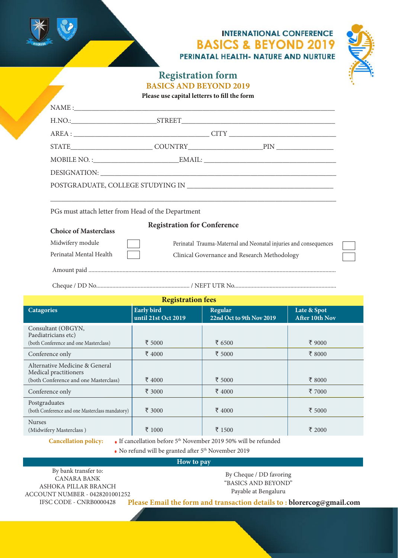



# **Registration form BASICS AND BEYOND 2019**

**Please use capital letterrs to fill the form**

| PGs must attach letter from Head of the Department               |                                                                  |                                              |                               |  |
|------------------------------------------------------------------|------------------------------------------------------------------|----------------------------------------------|-------------------------------|--|
| <b>Choice of Masterclass</b>                                     | <b>Registration for Conference</b>                               |                                              |                               |  |
| Midwifery module                                                 | Perinatal Trauma-Maternal and Neonatal injuries and consequences |                                              |                               |  |
| Perinatal Mental Health                                          |                                                                  | Clinical Governance and Research Methodology |                               |  |
|                                                                  |                                                                  |                                              |                               |  |
|                                                                  |                                                                  |                                              |                               |  |
|                                                                  | <b>Registration fees</b>                                         |                                              |                               |  |
| <b>Catagories</b>                                                | <b>Early bird</b><br>until 21st Oct 2019                         | <b>Regular</b><br>22nd Oct to 9th Nov 2019   | Late & Spot<br>After 10th Nov |  |
| Consultant (OBGYN,<br>Paediatricians etc)                        |                                                                  |                                              |                               |  |
| (both Conference and one Masterclass)<br>Conference only         | ₹ 5000<br>₹ 4000                                                 | ₹ 6500<br>₹ 5000                             | ₹ 9000<br>₹ 8000              |  |
| Alternative Medicine & General<br>Medical practitioners          |                                                                  |                                              |                               |  |
| (both Conference and one Masterclass)                            | ₹ 4000                                                           | ₹ 5000                                       | ₹ 8000                        |  |
| Conference only                                                  | ₹ 3000                                                           | ₹ 4000                                       | ₹ 7000                        |  |
| Postgraduates<br>(both Conference and one Masterclass mandatory) | ₹ 3000                                                           | ₹ 4000                                       | ₹ 5000                        |  |
| <b>Nurses</b>                                                    |                                                                  |                                              |                               |  |
| (Midwifery Masterclass)                                          | ₹ 1000                                                           | ₹ 1500                                       | ₹ 2000                        |  |

**How to pay**

By bank transfer to: CANARA BANK ASHOKA PILLAR BRANCH ACCOUNT NUMBER - 0428201001252 IFSC CODE - CNRB0000428

By Cheque / DD favoring "BASICS AND BEYOND" Payable at Bengaluru

**Please Email the form and transaction details to : blorercog@gmail.com**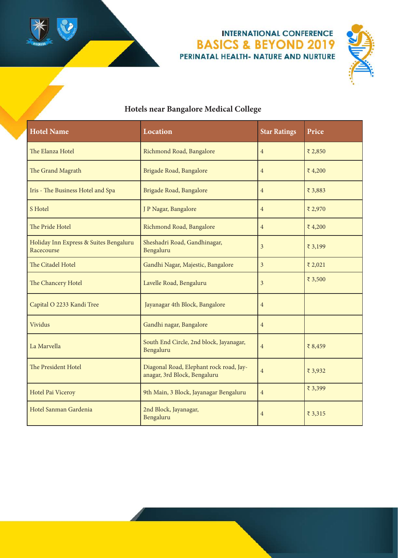



# **Hotels near Bangalore Medical College**

| <b>Hotel Name</b>                                    | Location                                                                | <b>Star Ratings</b> | Price   |
|------------------------------------------------------|-------------------------------------------------------------------------|---------------------|---------|
| The Elanza Hotel                                     | Richmond Road, Bangalore                                                | $\overline{4}$      | ₹ 2,850 |
| The Grand Magrath                                    | Brigade Road, Bangalore                                                 | $\overline{4}$      | ₹4,200  |
| Iris - The Business Hotel and Spa                    | Brigade Road, Bangalore                                                 | $\overline{4}$      | ₹ 3,883 |
| S Hotel                                              | J P Nagar, Bangalore                                                    | $\overline{4}$      | ₹ 2,970 |
| The Pride Hotel                                      | Richmond Road, Bangalore                                                | $\overline{4}$      | ₹4,200  |
| Holiday Inn Express & Suites Bengaluru<br>Racecourse | Sheshadri Road, Gandhinagar,<br>Bengaluru                               | 3                   | ₹ 3,199 |
| The Citadel Hotel                                    | Gandhi Nagar, Majestic, Bangalore                                       | 3                   | ₹ 2,021 |
| The Chancery Hotel                                   | Lavelle Road, Bengaluru                                                 | 3                   | ₹ 3,500 |
| Capital O 2233 Kandi Tree                            | Jayanagar 4th Block, Bangalore                                          | $\overline{4}$      |         |
| Vividus                                              | Gandhi nagar, Bangalore                                                 | $\overline{4}$      |         |
| La Marvella                                          | South End Circle, 2nd block, Jayanagar,<br>Bengaluru                    | $\overline{4}$      | ₹ 8,459 |
| The President Hotel                                  | Diagonal Road, Elephant rock road, Jay-<br>anagar, 3rd Block, Bengaluru | $\overline{4}$      | ₹ 3,932 |
| Hotel Pai Viceroy                                    | 9th Main, 3 Block, Jayanagar Bengaluru                                  | $\overline{4}$      | ₹ 3,399 |
| Hotel Sanman Gardenia                                | 2nd Block, Jayanagar,<br>Bengaluru                                      | 4                   | ₹ 3,315 |